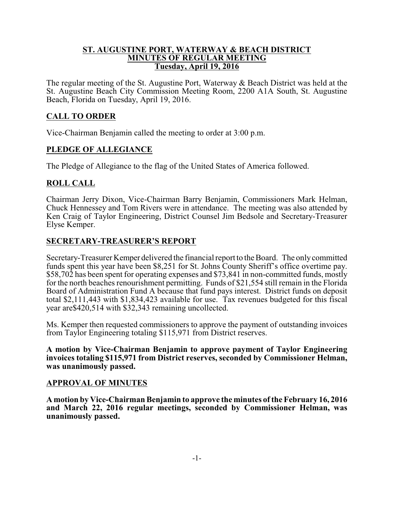#### **ST. AUGUSTINE PORT, WATERWAY & BEACH DISTRICT MINUTES OF REGULAR MEETING Tuesday, April 19, 2016**

The regular meeting of the St. Augustine Port, Waterway & Beach District was held at the St. Augustine Beach City Commission Meeting Room, 2200 A1A South, St. Augustine Beach, Florida on Tuesday, April 19, 2016.

# **CALL TO ORDER**

Vice-Chairman Benjamin called the meeting to order at 3:00 p.m.

## **PLEDGE OF ALLEGIANCE**

The Pledge of Allegiance to the flag of the United States of America followed.

## **ROLL CALL**

Chairman Jerry Dixon, Vice-Chairman Barry Benjamin, Commissioners Mark Helman, Chuck Hennessey and Tom Rivers were in attendance. The meeting was also attended by Ken Craig of Taylor Engineering, District Counsel Jim Bedsole and Secretary-Treasurer Elyse Kemper.

## **SECRETARY-TREASURER'S REPORT**

Secretary-Treasurer Kemper delivered the financial report to the Board. The onlycommitted funds spent this year have been \$8,251 for St. Johns County Sheriff's office overtime pay. \$58,702 has been spent for operating expenses and \$73,841 in non-committed funds, mostly for the north beaches renourishment permitting. Funds of \$21,554 still remain in the Florida Board of Administration Fund A because that fund pays interest. District funds on deposit total \$2,111,443 with \$1,834,423 available for use. Tax revenues budgeted for this fiscal year are\$420,514 with \$32,343 remaining uncollected.

Ms. Kemper then requested commissioners to approve the payment of outstanding invoices from Taylor Engineering totaling \$115,971 from District reserves.

**A motion by Vice-Chairman Benjamin to approve payment of Taylor Engineering invoices totaling \$115,971 from District reserves, seconded by Commissioner Helman, was unanimously passed.**

### **APPROVAL OF MINUTES**

**A motion by Vice-Chairman Benjamin to approve the minutes of the February 16, 2016 and March 22, 2016 regular meetings, seconded by Commissioner Helman, was unanimously passed.**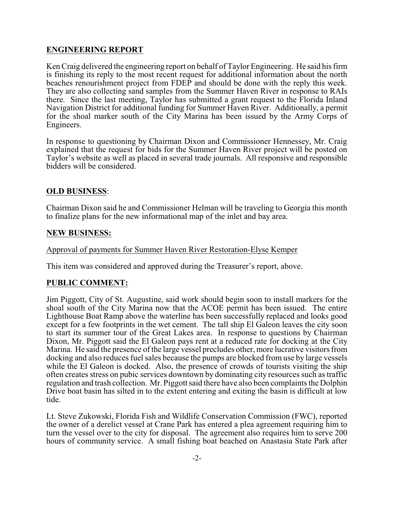# **ENGINEERING REPORT**

Ken Craig delivered the engineering report on behalf of Taylor Engineering. He said his firm is finishing its reply to the most recent request for additional information about the north beaches renourishment project from FDEP and should be done with the reply this week. They are also collecting sand samples from the Summer Haven River in response to RAIs there. Since the last meeting, Taylor has submitted a grant request to the Florida Inland Navigation District for additional funding for Summer Haven River. Additionally, a permit for the shoal marker south of the City Marina has been issued by the Army Corps of Engineers.

In response to questioning by Chairman Dixon and Commissioner Hennessey, Mr. Craig explained that the request for bids for the Summer Haven River project will be posted on Taylor's website as well as placed in several trade journals. All responsive and responsible bidders will be considered.

### **OLD BUSINESS**:

Chairman Dixon said he and Commissioner Helman will be traveling to Georgia this month to finalize plans for the new informational map of the inlet and bay area.

### **NEW BUSINESS:**

#### Approval of payments for Summer Haven River Restoration-Elyse Kemper

This item was considered and approved during the Treasurer's report, above.

### **PUBLIC COMMENT:**

Jim Piggott, City of St. Augustine, said work should begin soon to install markers for the shoal south of the City Marina now that the ACOE permit has been issued. The entire Lighthouse Boat Ramp above the waterline has been successfully replaced and looks good except for a few footprints in the wet cement. The tall ship El Galeon leaves the city soon to start its summer tour of the Great Lakes area. In response to questions by Chairman Dixon, Mr. Piggott said the El Galeon pays rent at a reduced rate for docking at the City Marina. He said the presence of the large vessel precludes other, more lucrative visitors from docking and also reduces fuel sales because the pumps are blocked from use by large vessels while the El Galeon is docked. Also, the presence of crowds of tourists visiting the ship often creates stress on pubic services downtown by dominating city resources such as traffic regulation and trash collection. Mr. Piggott said there have also been complaints the Dolphin Drive boat basin has silted in to the extent entering and exiting the basin is difficult at low tide.

Lt. Steve Zukowski, Florida Fish and Wildlife Conservation Commission (FWC), reported the owner of a derelict vessel at Crane Park has entered a plea agreement requiring him to turn the vessel over to the city for disposal. The agreement also requires him to serve 200 hours of community service. A small fishing boat beached on Anastasia State Park after